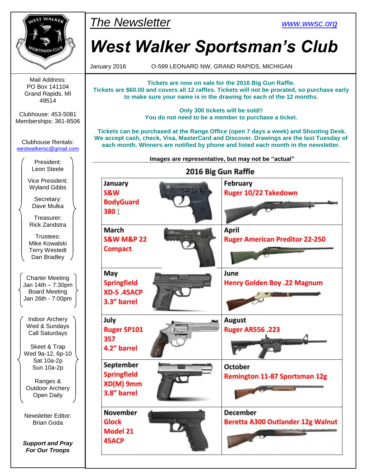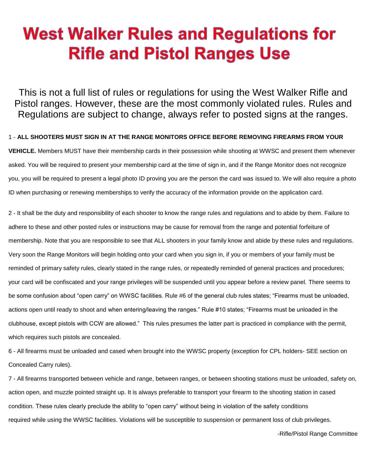# **West Walker Rules and Regulations for Rifle and Pistol Ranges Use**

This is not a full list of rules or regulations for using the West Walker Rifle and Pistol ranges. However, these are the most commonly violated rules. Rules and Regulations are subject to change, always refer to posted signs at the ranges.

1 - **ALL SHOOTERS MUST SIGN IN AT THE RANGE MONITORS OFFICE BEFORE REMOVING FIREARMS FROM YOUR VEHICLE.** Members MUST have their membership cards in their possession while shooting at WWSC and present them whenever asked. You will be required to present your membership card at the time of sign in, and if the Range Monitor does not recognize you, you will be required to present a legal photo ID proving you are the person the card was issued to. We will also require a photo ID when purchasing or renewing memberships to verify the accuracy of the information provide on the application card.

2 - It shall be the duty and responsibility of each shooter to know the range rules and regulations and to abide by them. Failure to adhere to these and other posted rules or instructions may be cause for removal from the range and potential forfeiture of membership. Note that you are responsible to see that ALL shooters in your family know and abide by these rules and regulations. Very soon the Range Monitors will begin holding onto your card when you sign in, if you or members of your family must be reminded of primary safety rules, clearly stated in the range rules, or repeatedly reminded of general practices and procedures; your card will be confiscated and your range privileges will be suspended until you appear before a review panel. There seems to be some confusion about "open carry" on WWSC facilities. Rule #6 of the general club rules states; "Firearms must be unloaded, actions open until ready to shoot and when entering/leaving the ranges." Rule #10 states; "Firearms must be unloaded in the clubhouse, except pistols with CCW are allowed." This rules presumes the latter part is practiced in compliance with the permit, which requires such pistols are concealed.

6 - All firearms must be unloaded and cased when brought into the WWSC property (exception for CPL holders- SEE section on Concealed Carry rules).

7 - All firearms transported between vehicle and range, between ranges, or between shooting stations must be unloaded, safety on, action open, and muzzle pointed straight up. It is always preferable to transport your firearm to the shooting station in cased condition. These rules clearly preclude the ability to "open carry" without being in violation of the safety conditions required while using the WWSC facilities. Violations will be susceptible to suspension or permanent loss of club privileges.

-Rifle/Pistol Range Committee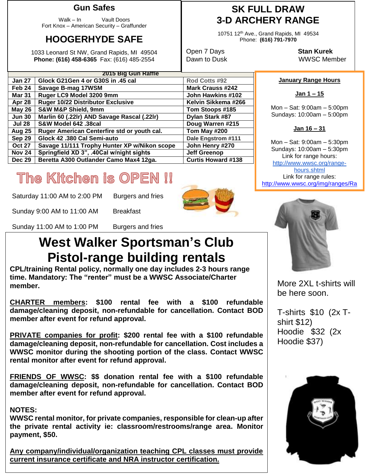### **Gun Safes**

Walk – In Vault Doors Fort Knox – American Security – Graffunder

## **HOOGERHYDE SAFE**

1033 Leonard St NW, Grand Rapids, MI 49504 **Phone: (616) 458-6365** Fax: (616) 485-2554

|               | 2015 Big Gun Raffle                          |                           |
|---------------|----------------------------------------------|---------------------------|
| <b>Jan 27</b> | Glock G21Gen 4 or G30S in .45 cal            | Rod Cotts #92             |
| Feb 24        | Savage B-mag 17WSM                           | <b>Mark Crauss #242</b>   |
| <b>Mar 31</b> | Ruger LC9 Model 3200 9mm                     | John Hawkins #102         |
| Apr 28        | Ruger 10/22 Distributor Exclusive            | Kelvin Sikkema #266       |
| <b>May 26</b> | <b>S&amp;W M&amp;P Shield, 9mm</b>           | Tom Stoops #185           |
| <b>Jun 30</b> | Marlin 60 (.22lr) AND Savage Rascal (.22lr)  | Dylan Stark #87           |
| <b>Jul 28</b> | S&W Model 642 .38cal                         | Doug Warren #215          |
| <b>Aug 25</b> | Ruger American Centerfire std or youth cal.  | Tom May #200              |
| Sep 29        | Glock 42 .380 Cal Semi-auto                  | Dale Engstrom #111        |
| <b>Oct 27</b> | Savage 11/111 Trophy Hunter XP w/Nikon scope | John Henry #270           |
| <b>Nov 24</b> | Springfield XD 3", .40Cal w/night sights     | <b>Jeff Greenop</b>       |
| <b>Dec 29</b> | Beretta A300 Outlander Camo Max4 12ga.       | <b>Curtis Howard #138</b> |

# The Kitchen is OPEN !!

Saturday 11:00 AM to 2:00 PM Burgers and fries Sunday 9:00 AM to 11:00 AM Breakfast

Sunday 11:00 AM to 1:00 PM Burgers and fries

## **West Walker Sportsman's Club Pistol-range building rentals**

**CPL/training Rental policy, normally one day includes 2-3 hours range time. Mandatory: The "renter" must be a WWSC Associate/Charter member.**

**CHARTER members: \$100 rental fee with a \$100 refundable damage/cleaning deposit, non-refundable for cancellation. Contact BOD member after event for refund approval.**

**PRIVATE companies for profit: \$200 rental fee with a \$100 refundable damage/cleaning deposit, non-refundable for cancellation. Cost includes a WWSC monitor during the shooting portion of the class. Contact WWSC rental monitor after event for refund approval.**

**FRIENDS OF WWSC: \$\$ donation rental fee with a \$100 refundable damage/cleaning deposit, non-refundable for cancellation. Contact BOD member after event for refund approval.**

### **NOTES:**

**WWSC rental monitor, for private companies, responsible for clean-up after the private rental activity ie: classroom/restrooms/range area. Monitor payment, \$50.**

**Any company/individual/organization teaching CPL classes must provide current insurance certificate and NRA instructor certification.**

### **SK FULL DRAW 3-D ARCHERY RANGE**

10751 12th Ave., Grand Rapids, MI 49534 Phone: **(616) 791-7970**

Open 7 Days **Stan Kurek** Dawn to Dusk WWSC Member

#### **January Range Hours**

**Jan 1 – 15**

Mon – Sat: 9:00am – 5:00pm Sundays: 10:00am – 5:00pm

**Jan 16 – 31**

Mon – Sat: 9:00am – 5:30pm Sundays: 10:00am – 5:30pm Link for range hours: [http://www.wwsc.org/range](http://www.wwsc.org/range-hours.shtml)[hours.shtml](http://www.wwsc.org/range-hours.shtml) Link for range rules: http://www.wwsc.org/img/ranges/Ra



More 2XL t-shirts will be here soon.

T-shirts \$10 (2x Tshirt \$12) Hoodie \$32 (2x Hoodie \$37)